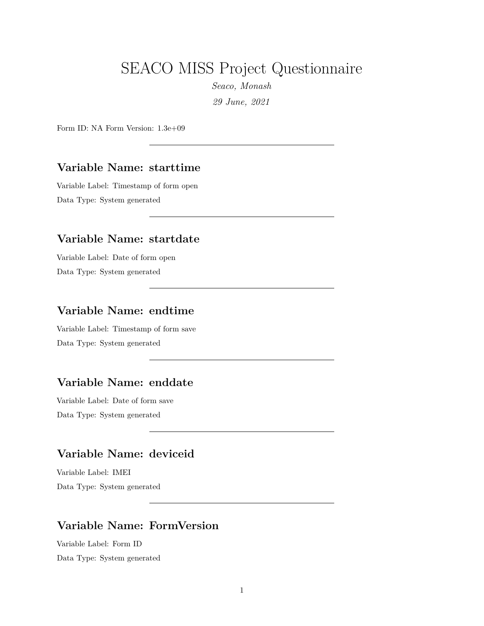# SEACO MISS Project Questionnaire

*Seaco, Monash 29 June, 2021*

Form ID: NA Form Version: 1.3e+09

#### **Variable Name: starttime**

Variable Label: Timestamp of form open Data Type: System generated

#### **Variable Name: startdate**

Variable Label: Date of form open Data Type: System generated

### **Variable Name: endtime**

Variable Label: Timestamp of form save Data Type: System generated

### **Variable Name: enddate**

Variable Label: Date of form save Data Type: System generated

## **Variable Name: deviceid**

Variable Label: IMEI Data Type: System generated

### **Variable Name: FormVersion**

Variable Label: Form ID Data Type: System generated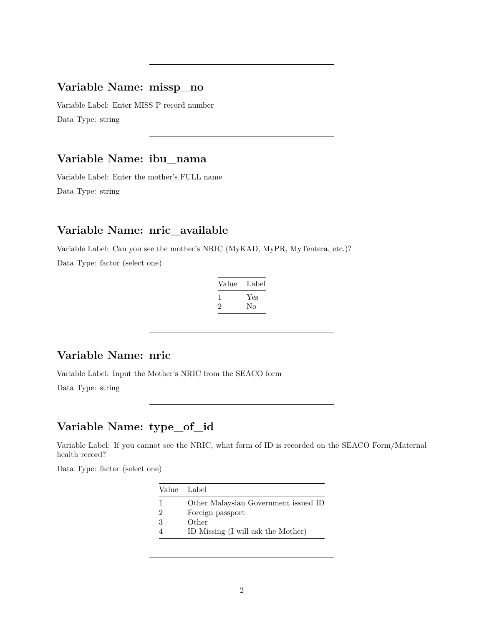### **Variable Name: missp\_no**

Variable Label: Enter MISS P record number Data Type: string

# **Variable Name: ibu\_nama**

Variable Label: Enter the mother's FULL name Data Type: string

### **Variable Name: nric\_available**

Variable Label: Can you see the mother's NRIC (MyKAD, MyPR, MyTentera, etc.)?

Data Type: factor (select one)

| Value | Label |
|-------|-------|
|       | Yes   |
|       | Nο    |

#### **Variable Name: nric**

Variable Label: Input the Mother's NRIC from the SEACO form

Data Type: string

## **Variable Name: type\_of\_id**

Variable Label: If you cannot see the NRIC, what form of ID is recorded on the SEACO Form/Maternal health record?

| Value Label |                                      |
|-------------|--------------------------------------|
|             | Other Malaysian Government issued ID |
| -2          | Foreign passport                     |
| -3          | Other                                |
|             | ID Missing (I will ask the Mother)   |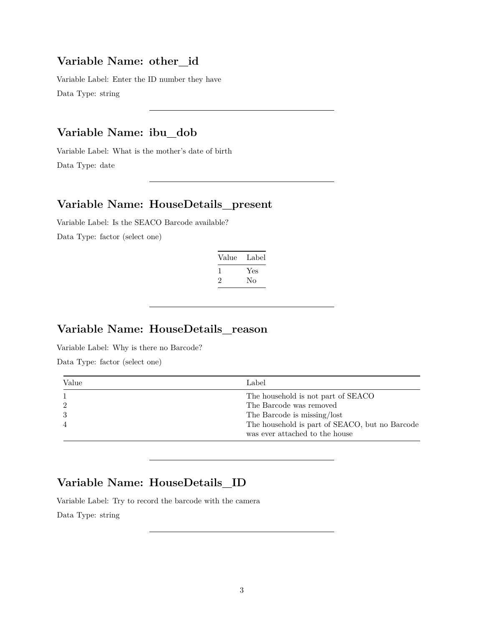# **Variable Name: other\_id**

Variable Label: Enter the ID number they have Data Type: string

## **Variable Name: ibu\_dob**

Variable Label: What is the mother's date of birth Data Type: date

#### **Variable Name: HouseDetails\_present**

Variable Label: Is the SEACO Barcode available? Data Type: factor (select one)

| Value | Label |
|-------|-------|
|       | Yes   |
| ۰,    | Nο    |

## **Variable Name: HouseDetails\_reason**

Variable Label: Why is there no Barcode?

Data Type: factor (select one)

| Value          | Label                                                                            |
|----------------|----------------------------------------------------------------------------------|
|                | The household is not part of SEACO                                               |
| $\overline{2}$ | The Barcode was removed                                                          |
| $\mathcal{S}$  | The Barcode is missing/lost                                                      |
| -4             | The household is part of SEACO, but no Barcode<br>was ever attached to the house |

### **Variable Name: HouseDetails\_ID**

Variable Label: Try to record the barcode with the camera

Data Type: string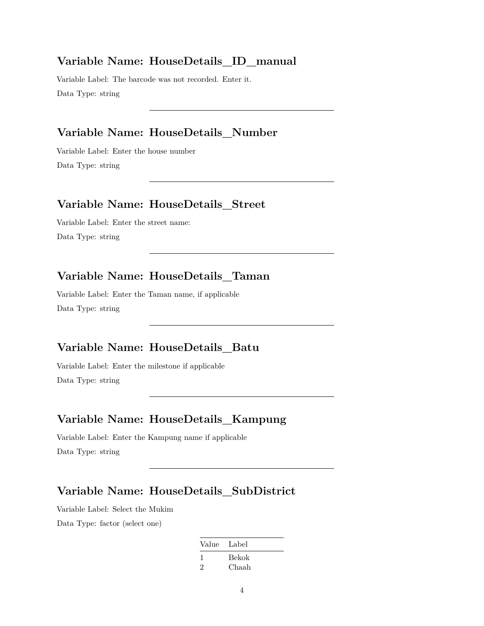#### **Variable Name: HouseDetails\_ID\_manual**

Variable Label: The barcode was not recorded. Enter it. Data Type: string

### **Variable Name: HouseDetails\_Number**

Variable Label: Enter the house number Data Type: string

### **Variable Name: HouseDetails\_Street**

Variable Label: Enter the street name: Data Type: string

## **Variable Name: HouseDetails\_Taman**

Variable Label: Enter the Taman name, if applicable Data Type: string

## **Variable Name: HouseDetails\_Batu**

Variable Label: Enter the milestone if applicable Data Type: string

## **Variable Name: HouseDetails\_Kampung**

Variable Label: Enter the Kampung name if applicable Data Type: string

## **Variable Name: HouseDetails\_SubDistrict**

Variable Label: Select the Mukim Data Type: factor (select one)

| Value Label |       |
|-------------|-------|
|             | Bekok |
| 2           | Chaah |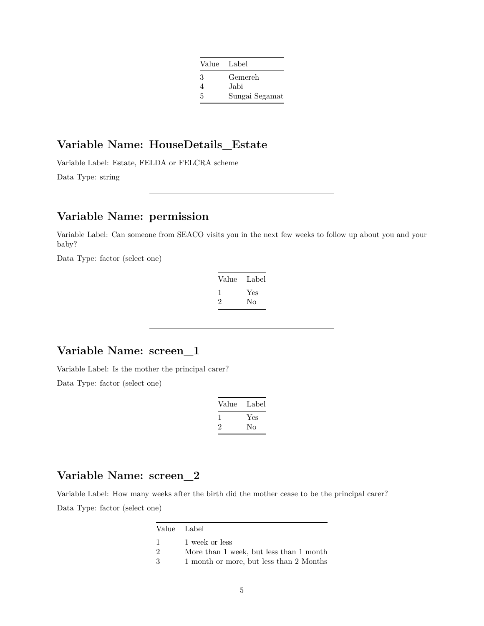| Value Label |                |
|-------------|----------------|
| 3           | Gemereh        |
| 4           | Jabi           |
| 5           | Sungai Segamat |

## **Variable Name: HouseDetails\_Estate**

Variable Label: Estate, FELDA or FELCRA scheme

Data Type: string

# **Variable Name: permission**

Variable Label: Can someone from SEACO visits you in the next few weeks to follow up about you and your baby?

Data Type: factor (select one)

| Value | Label |
|-------|-------|
|       | Yes   |
| '2    | Nο    |

### **Variable Name: screen\_1**

Variable Label: Is the mother the principal carer?

Data Type: factor (select one)

| Value | Label |
|-------|-------|
|       | Yes   |
| '2    | Nο    |

## **Variable Name: screen\_2**

Variable Label: How many weeks after the birth did the mother cease to be the principal carer? Data Type: factor (select one)

| Value Label   |                                         |
|---------------|-----------------------------------------|
| -1            | 1 week or less                          |
| $\mathcal{D}$ | More than 1 week, but less than 1 month |
| -3            | 1 month or more, but less than 2 Months |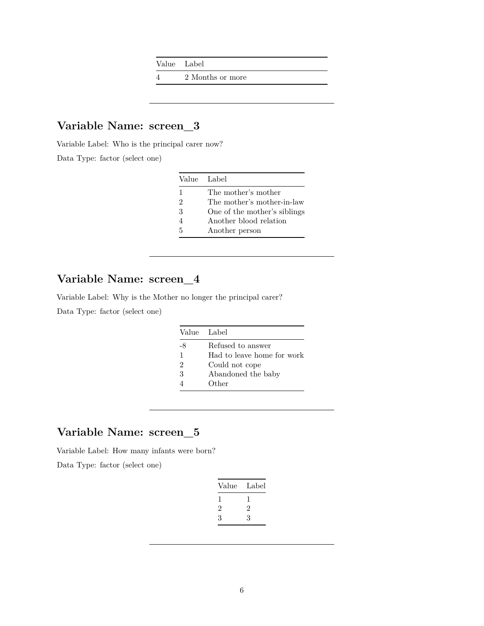Value Label

4 2 Months or more

## **Variable Name: screen\_3**

Variable Label: Who is the principal carer now?

Data Type: factor (select one)

|                             | Value Label                  |
|-----------------------------|------------------------------|
| 1                           | The mother's mother          |
| $\mathcal{D}_{\mathcal{L}}$ | The mother's mother-in-law   |
| 3                           | One of the mother's siblings |
| 4                           | Another blood relation       |
| 5                           | Another person               |

## **Variable Name: screen\_4**

Variable Label: Why is the Mother no longer the principal carer?

Data Type: factor (select one)

|                | Value Label                |
|----------------|----------------------------|
| -8             | Refused to answer          |
| 1              | Had to leave home for work |
| $\mathfrak{D}$ | Could not cope             |
| 3              | Abandoned the baby         |
|                | Other                      |

## **Variable Name: screen\_5**

Variable Label: How many infants were born?

| Value | Label |
|-------|-------|
|       |       |
| 2     | 2     |
| 3     | 3     |
|       |       |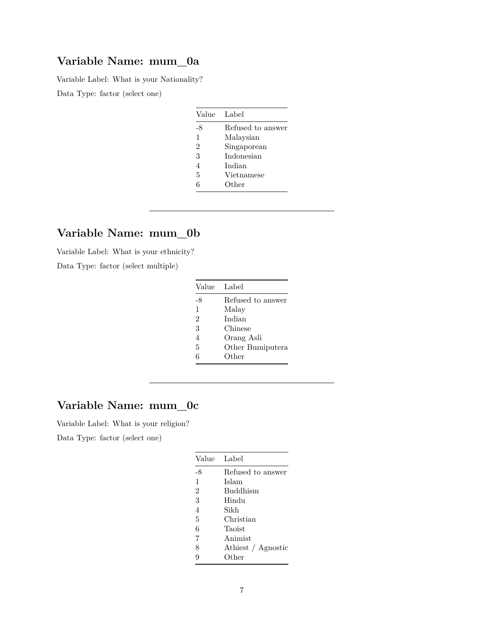Variable Label: What is your Nationality?

Data Type: factor (select one)

| Value          | Label             |
|----------------|-------------------|
| -8             | Refused to answer |
| $\mathbf{1}$   | Malaysian         |
| $\overline{2}$ | Singaporean       |
| 3              | Indonesian        |
| 4              | Indian            |
| 5              | Vietnamese        |
| 6              | Other             |

## **Variable Name: mum\_0b**

Variable Label: What is your ethnicity?

Data Type: factor (select multiple)

| Value          | Label             |
|----------------|-------------------|
| -8             | Refused to answer |
| $\mathbf{1}$   | Malay             |
| $\mathfrak{D}$ | Indian            |
| 3              | Chinese           |
| 4              | Orang Asli        |
| 5              | Other Bumiputera  |
| 6              | Other             |

## **Variable Name: mum\_0c**

Variable Label: What is your religion?

| Value          | Label              |  |
|----------------|--------------------|--|
| -8             | Refused to answer  |  |
| 1              | Islam              |  |
| $\overline{2}$ | <b>Buddhism</b>    |  |
| 3              | Hindu              |  |
| 4              | Sikh               |  |
| 5              | Christian          |  |
| 6              | Taoist             |  |
| 7              | Animist            |  |
| 8              | Athiest / Agnostic |  |
| 9              | Other              |  |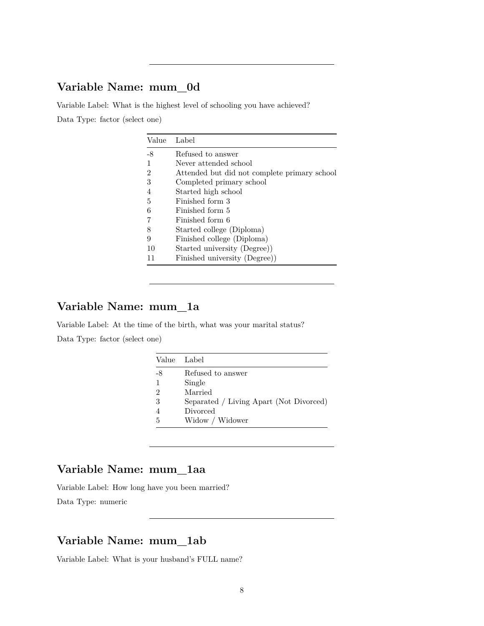Variable Label: What is the highest level of schooling you have achieved? Data Type: factor (select one)

| Value          | Label                                        |
|----------------|----------------------------------------------|
| -8             | Refused to answer                            |
|                | Never attended school                        |
| 2              | Attended but did not complete primary school |
| 3              | Completed primary school                     |
| $\overline{4}$ | Started high school                          |
| 5              | Finished form 3                              |
| 6              | Finished form 5                              |
|                | Finished form 6                              |
| 8              | Started college (Diploma)                    |
| 9              | Finished college (Diploma)                   |
| 10             | Started university (Degree))                 |
| 11             | Finished university (Degree))                |

## **Variable Name: mum\_1a**

Variable Label: At the time of the birth, what was your marital status? Data Type: factor (select one)

| Value Label    |                                         |
|----------------|-----------------------------------------|
| -8             | Refused to answer                       |
| 1              | Single                                  |
| $\mathfrak{D}$ | Married                                 |
| 3              | Separated / Living Apart (Not Divorced) |
|                | Divorced                                |
| 5              | Widow / Widower                         |

### **Variable Name: mum\_1aa**

Variable Label: How long have you been married? Data Type: numeric

# **Variable Name: mum\_1ab**

Variable Label: What is your husband's FULL name?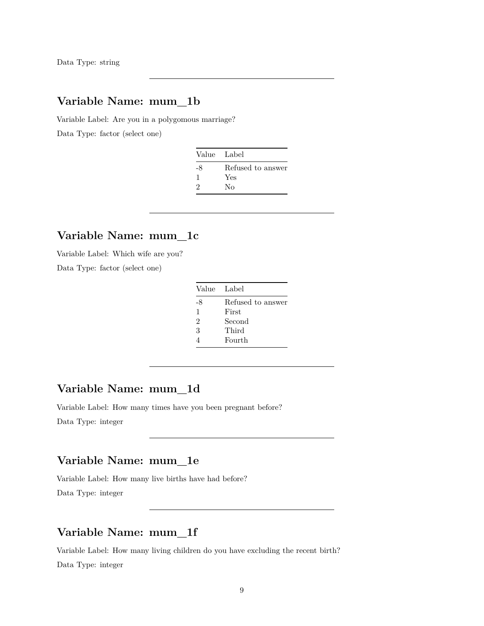Data Type: string

### **Variable Name: mum\_1b**

Variable Label: Are you in a polygomous marriage? Data Type: factor (select one)

| Value Label |                   |
|-------------|-------------------|
| -8          | Refused to answer |
|             | Yes               |
| 9           | Nο                |

## **Variable Name: mum\_1c**

Variable Label: Which wife are you?

Data Type: factor (select one)

| Value Label  |                   |
|--------------|-------------------|
| -8           | Refused to answer |
| $\mathbf{1}$ | First             |
| 2            | Second            |
| 3            | Third             |
|              | Fourth            |

## **Variable Name: mum\_1d**

Variable Label: How many times have you been pregnant before?

Data Type: integer

### **Variable Name: mum\_1e**

Variable Label: How many live births have had before? Data Type: integer

## **Variable Name: mum\_1f**

Variable Label: How many living children do you have excluding the recent birth? Data Type: integer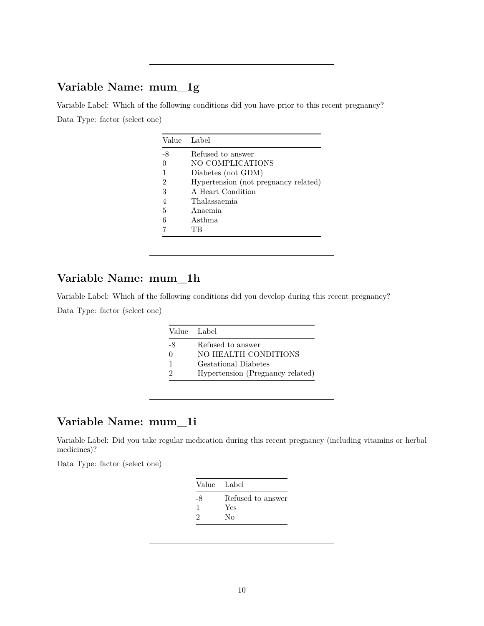Variable Label: Which of the following conditions did you have prior to this recent pregnancy? Data Type: factor (select one)

|    | Value Label                          |
|----|--------------------------------------|
| -8 | Refused to answer                    |
|    | NO COMPLICATIONS                     |
|    | Diabetes (not GDM)                   |
| 2  | Hypertension (not pregnancy related) |
| 3  | A Heart Condition                    |
|    | Thalassaemia                         |
| 5  | Anaemia                              |
|    | Asthma                               |
|    | ТR                                   |

## **Variable Name: mum\_1h**

Variable Label: Which of the following conditions did you develop during this recent pregnancy? Data Type: factor (select one)

|         | Value Label                               |
|---------|-------------------------------------------|
| -8<br>∩ | Refused to answer<br>NO HEALTH CONDITIONS |
| 1       | <b>Gestational Diabetes</b>               |
| 2       | Hypertension (Pregnancy related)          |

### **Variable Name: mum\_1i**

Variable Label: Did you take regular medication during this recent pregnancy (including vitamins or herbal medicines)?

| Refused to answer<br>-8<br>Yes<br>2<br>Nο |  |
|-------------------------------------------|--|
|                                           |  |
|                                           |  |
|                                           |  |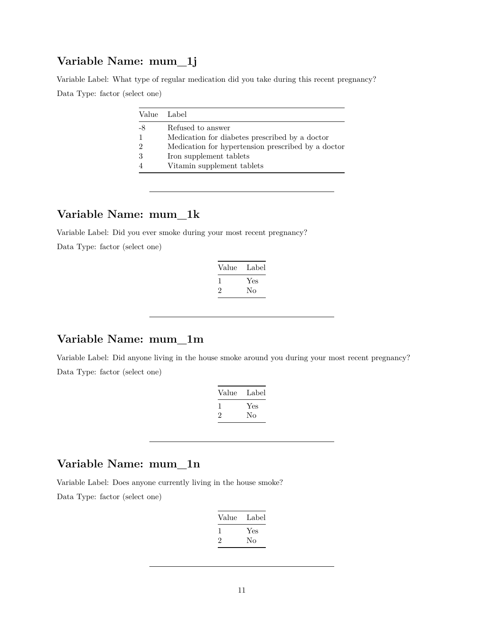Variable Label: What type of regular medication did you take during this recent pregnancy? Data Type: factor (select one)

|    | Value Label                                        |
|----|----------------------------------------------------|
| -8 | Refused to answer                                  |
|    | Medication for diabetes prescribed by a doctor     |
|    | Medication for hypertension prescribed by a doctor |
|    | Iron supplement tablets                            |
|    | Vitamin supplement tablets                         |

## **Variable Name: mum\_1k**

Variable Label: Did you ever smoke during your most recent pregnancy? Data Type: factor (select one)

| Value   | Label |
|---------|-------|
| -1      | Yes   |
| $\cdot$ | No    |

# **Variable Name: mum\_1m**

Variable Label: Did anyone living in the house smoke around you during your most recent pregnancy? Data Type: factor (select one)

| Value     | Label |
|-----------|-------|
|           | Yes   |
| $\dot{z}$ | Nο    |

## **Variable Name: mum\_1n**

Variable Label: Does anyone currently living in the house smoke?

| Value | Label |
|-------|-------|
|       | Yes   |
| ۰,    | Nο    |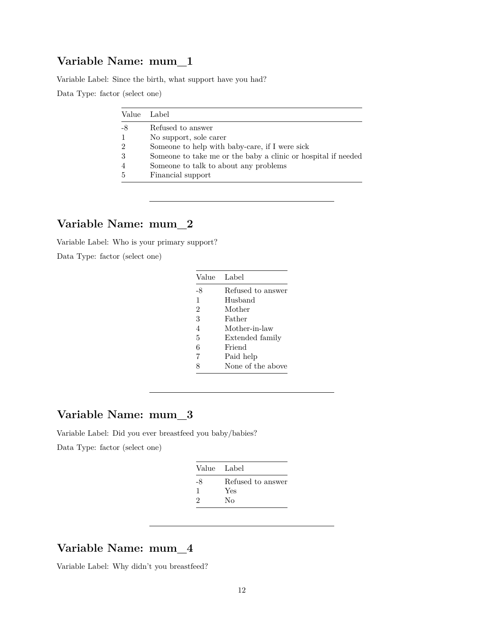Variable Label: Since the birth, what support have you had?

Data Type: factor (select one)

| Value Label |                                                               |
|-------------|---------------------------------------------------------------|
| -8          | Refused to answer                                             |
|             | No support, sole carer                                        |
| 9           | Someone to help with baby-care, if I were sick                |
|             | Someone to take me or the baby a clinic or hospital if needed |
|             | Someone to talk to about any problems                         |
|             | Financial support                                             |

### **Variable Name: mum\_2**

Variable Label: Who is your primary support?

Data Type: factor (select one)

| Value          | Label             |
|----------------|-------------------|
| -8             | Refused to answer |
| 1              | Husband           |
| $\overline{2}$ | Mother            |
| 3              | Father            |
| $\overline{4}$ | Mother-in-law     |
| 5              | Extended family   |
| 6              | Friend            |
| 7              | Paid help         |
| Ω              | None of the above |

## **Variable Name: mum\_3**

Variable Label: Did you ever breastfeed you baby/babies?

Data Type: factor (select one)

| Value Label   |                   |
|---------------|-------------------|
| -8            | Refused to answer |
| ı             | Yes               |
| $\mathcal{D}$ | Nο                |

### **Variable Name: mum\_4**

Variable Label: Why didn't you breastfeed?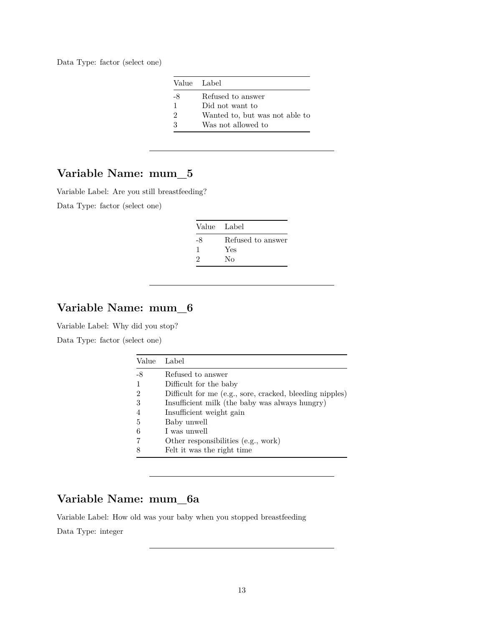Data Type: factor (select one)

|              | Value Label                    |
|--------------|--------------------------------|
| -8           | Refused to answer              |
| $\mathbf{1}$ | Did not want to                |
| 2            | Wanted to, but was not able to |
| २            | Was not allowed to             |

## **Variable Name: mum\_5**

Variable Label: Are you still breastfeeding?

Data Type: factor (select one)

| Value Label   |                   |
|---------------|-------------------|
| -8            | Refused to answer |
|               | Yes               |
| $\mathcal{D}$ | No                |

## **Variable Name: mum\_6**

Variable Label: Why did you stop?

Data Type: factor (select one)

| Value          | Label                                                    |
|----------------|----------------------------------------------------------|
| -8             | Refused to answer                                        |
| $\mathbf{1}$   | Difficult for the baby                                   |
| $\overline{2}$ | Difficult for me (e.g., sore, cracked, bleeding nipples) |
| 3              | Insufficient milk (the baby was always hungry)           |
| $\overline{4}$ | Insufficient weight gain                                 |
| 5              | Baby unwell                                              |
| 6              | I was unwell                                             |
|                | Other responsibilities (e.g., work)                      |
| 8              | Felt it was the right time                               |

## **Variable Name: mum\_6a**

Variable Label: How old was your baby when you stopped breastfeeding

Data Type: integer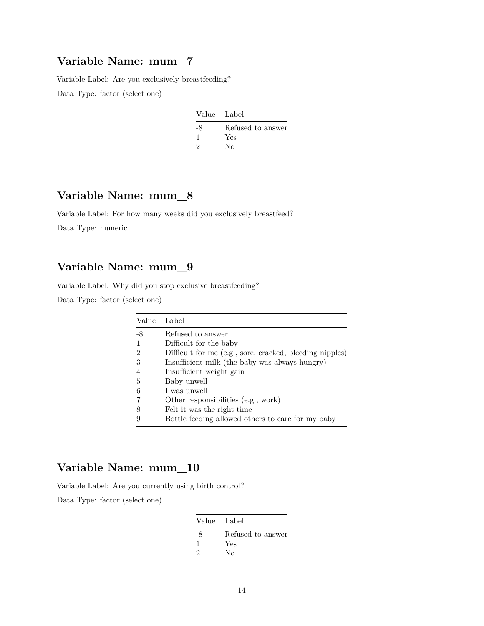Variable Label: Are you exclusively breastfeeding?

Data Type: factor (select one)

| Value Label |                   |
|-------------|-------------------|
| -8          | Refused to answer |
| ı           | Yes               |
| 2           | No                |

## **Variable Name: mum\_8**

Variable Label: For how many weeks did you exclusively breastfeed?

Data Type: numeric

## **Variable Name: mum\_9**

Variable Label: Why did you stop exclusive breastfeeding?

Data Type: factor (select one)

| Value | Label                                                    |
|-------|----------------------------------------------------------|
| $-8$  | Refused to answer                                        |
|       | Difficult for the baby                                   |
| 2     | Difficult for me (e.g., sore, cracked, bleeding nipples) |
| 3     | Insufficient milk (the baby was always hungry)           |
|       | Insufficient weight gain                                 |
| 5     | Baby unwell                                              |
| 6     | I was unwell                                             |
|       | Other responsibilities (e.g., work)                      |
| 8     | Felt it was the right time                               |
|       | Bottle feeding allowed others to care for my baby        |

## **Variable Name: mum\_10**

Variable Label: Are you currently using birth control?

| Value Label |                   |
|-------------|-------------------|
| -8          | Refused to answer |
|             | Yes               |
| $\Omega$    | Nο                |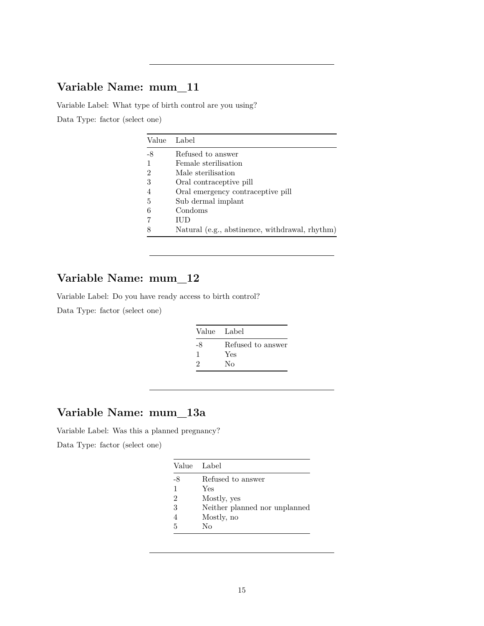Variable Label: What type of birth control are you using?

Data Type: factor (select one)

| Value | Label                                          |
|-------|------------------------------------------------|
| -8    | Refused to answer                              |
|       | Female sterilisation                           |
| 2     | Male sterilisation                             |
| 3     | Oral contraceptive pill                        |
|       | Oral emergency contraceptive pill              |
| 5     | Sub dermal implant                             |
|       | Condoms                                        |
|       | ШD                                             |
|       | Natural (e.g., abstinence, withdrawal, rhythm) |

# **Variable Name: mum\_12**

Variable Label: Do you have ready access to birth control?

Data Type: factor (select one)

| Value Label |                   |
|-------------|-------------------|
| -8          | Refused to answer |
|             | Yes               |
| 2           | Nο                |

## **Variable Name: mum\_13a**

Variable Label: Was this a planned pregnancy?

|    | Value Label                   |
|----|-------------------------------|
| -8 | Refused to answer             |
| 1  | Yes                           |
| 2  | Mostly, yes                   |
| 3  | Neither planned nor unplanned |
|    | Mostly, no                    |
| 5  | Nο                            |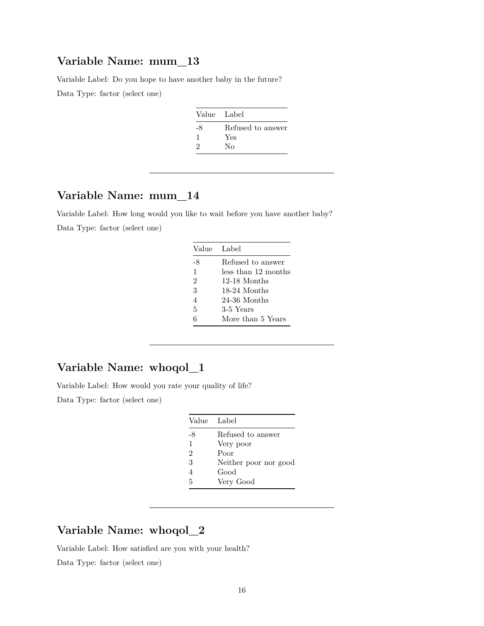Variable Label: Do you hope to have another baby in the future?

Data Type: factor (select one)

| Value Label |                   |
|-------------|-------------------|
| -8          | Refused to answer |
| J.          | Yes               |
| 9           | Nο                |

## **Variable Name: mum\_14**

Variable Label: How long would you like to wait before you have another baby? Data Type: factor (select one)

| Value Label    |                     |
|----------------|---------------------|
| -8             | Refused to answer   |
| $\mathbf{1}$   | less than 12 months |
| $\mathfrak{D}$ | 12-18 Months        |
| 3              | 18-24 Months        |
| 4              | 24-36 Months        |
| 5              | 3-5 Years           |
| 6              | More than 5 Years   |

## **Variable Name: whoqol\_1**

Variable Label: How would you rate your quality of life?

Data Type: factor (select one)

| Value Label           |
|-----------------------|
| Refused to answer     |
| Very poor             |
| Poor                  |
| Neither poor nor good |
| Good                  |
| Very Good             |
|                       |

## **Variable Name: whoqol\_2**

Variable Label: How satisfied are you with your health?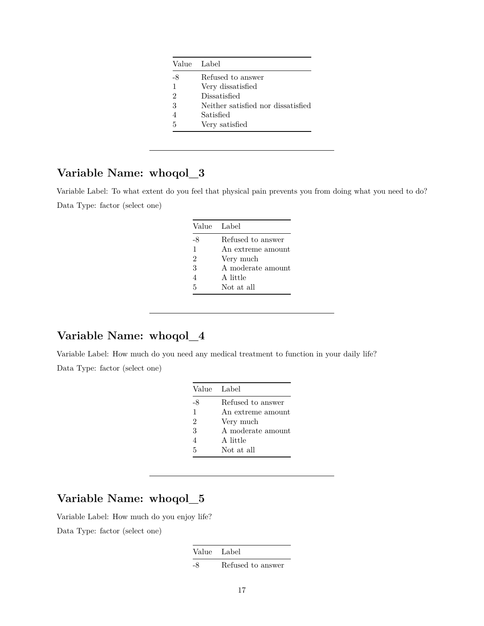|              | Value Label                        |
|--------------|------------------------------------|
| -8           | Refused to answer                  |
| $\mathbf{1}$ | Very dissatisfied                  |
| 2            | Dissatisfied                       |
| 3            | Neither satisfied nor dissatisfied |
|              | Satisfied                          |
| 5            | Very satisfied                     |

Variable Label: To what extent do you feel that physical pain prevents you from doing what you need to do? Data Type: factor (select one)

| Value Label    |                   |
|----------------|-------------------|
| -8             | Refused to answer |
| $\mathbf{1}$   | An extreme amount |
| $\mathfrak{D}$ | Very much         |
| 3              | A moderate amount |
| 4              | A little          |
| 5              | Not at all        |

# **Variable Name: whoqol\_4**

Variable Label: How much do you need any medical treatment to function in your daily life? Data Type: factor (select one)

| Value Label    |                   |
|----------------|-------------------|
| -8             | Refused to answer |
| 1              | An extreme amount |
| $\overline{2}$ | Very much         |
| 3              | A moderate amount |
| 4              | A little          |
| 5              | Not at all        |

## **Variable Name: whoqol\_5**

Variable Label: How much do you enjoy life?

Data Type: factor (select one)

Value Label

-8 Refused to answer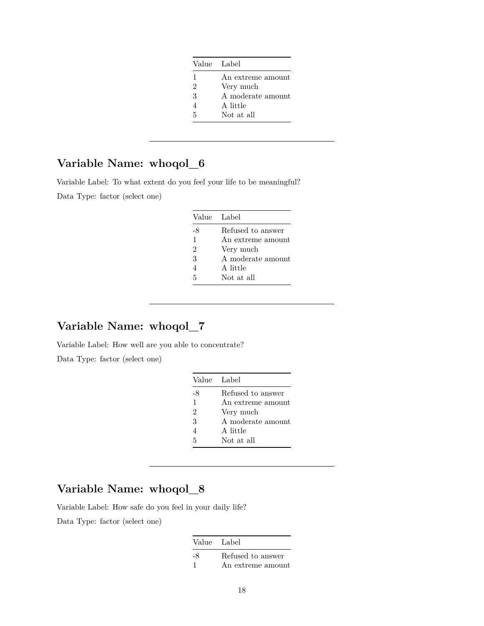| Value Label |                   |
|-------------|-------------------|
| 1           | An extreme amount |
| 2           | Very much         |
| 3           | A moderate amount |
|             | A little          |
| 5           | Not at all        |

Variable Label: To what extent do you feel your life to be meaningful?

Data Type: factor (select one)

| Value Label    |                   |
|----------------|-------------------|
| -8             | Refused to answer |
| 1              | An extreme amount |
| $\overline{2}$ | Very much         |
| 3              | A moderate amount |
| $\overline{4}$ | A little          |
| 5              | Not at all        |

## **Variable Name: whoqol\_7**

Variable Label: How well are you able to concentrate?

Data Type: factor (select one)

# **Variable Name: whoqol\_8**

Variable Label: How safe do you feel in your daily life?

| Value Label |                   |
|-------------|-------------------|
| -8          | Refused to answer |
| -1          | An extreme amount |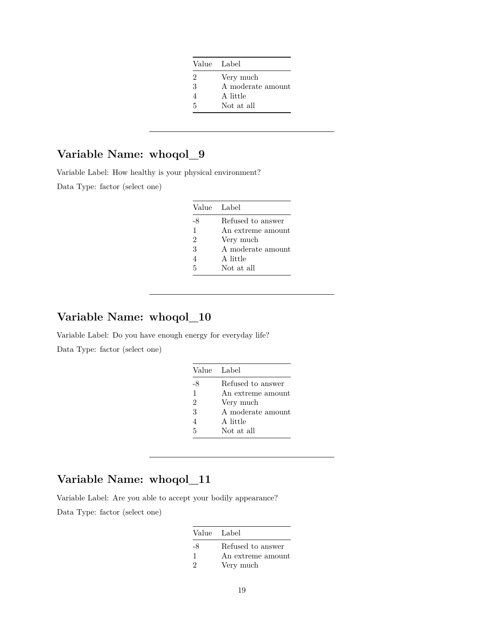| Value Label    |                   |
|----------------|-------------------|
| $\mathfrak{D}$ | Very much         |
| 3              | A moderate amount |
| 4              | A little          |
| 5              | Not at all        |

Variable Label: How healthy is your physical environment?

Data Type: factor (select one)

| Value Label    |                   |
|----------------|-------------------|
| -8             | Refused to answer |
| $\mathbf{1}$   | An extreme amount |
| $\overline{2}$ | Very much         |
| 3              | A moderate amount |
| 4              | A little          |
| 5              | Not at all        |

## **Variable Name: whoqol\_10**

Variable Label: Do you have enough energy for everyday life? Data Type: factor (select one)

| Value Label   |                   |
|---------------|-------------------|
| -8            | Refused to answer |
| 1             | An extreme amount |
| $\mathcal{D}$ | Very much         |
| 3             | A moderate amount |
| 4             | A little          |
| 5             | Not at all        |

# **Variable Name: whoqol\_11**

Variable Label: Are you able to accept your bodily appearance?

| Value Label   |                   |
|---------------|-------------------|
| -8            | Refused to answer |
| 1             | An extreme amount |
| $\mathcal{P}$ | Very much         |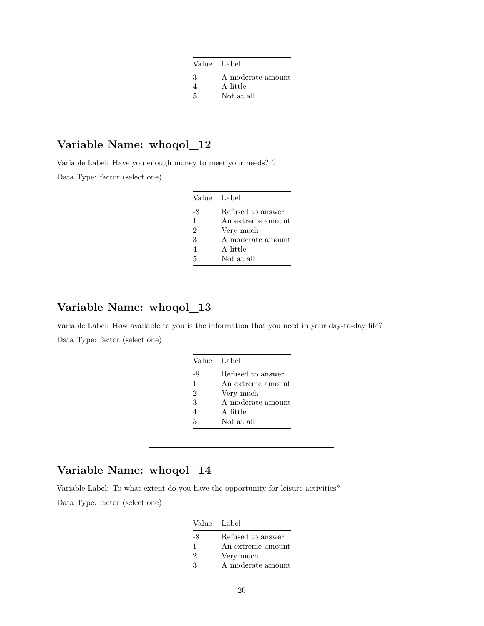| Value Label |                   |
|-------------|-------------------|
| З           | A moderate amount |
|             | A little          |
| 5           | Not at all        |

Variable Label: Have you enough money to meet your needs? ?

Data Type: factor (select one)

| Value Label   |                   |
|---------------|-------------------|
| -8            | Refused to answer |
| $\mathbf{1}$  | An extreme amount |
| $\mathcal{D}$ | Very much         |
| 3             | A moderate amount |
| 4             | A little          |
| 5             | Not at all        |

## **Variable Name: whoqol\_13**

Variable Label: How available to you is the information that you need in your day-to-day life? Data Type: factor (select one)

| Value Label    |                   |
|----------------|-------------------|
| -8             | Refused to answer |
| $\mathbf{1}$   | An extreme amount |
| $\overline{2}$ | Very much         |
| 3              | A moderate amount |
| 4              | A little          |
| 5              | Not at all        |

## **Variable Name: whoqol\_14**

Variable Label: To what extent do you have the opportunity for leisure activities? Data Type: factor (select one)

| Value Label                 |                   |
|-----------------------------|-------------------|
| -8                          | Refused to answer |
| 1                           | An extreme amount |
| $\mathcal{D}_{\mathcal{L}}$ | Very much         |
| ર                           | A moderate amount |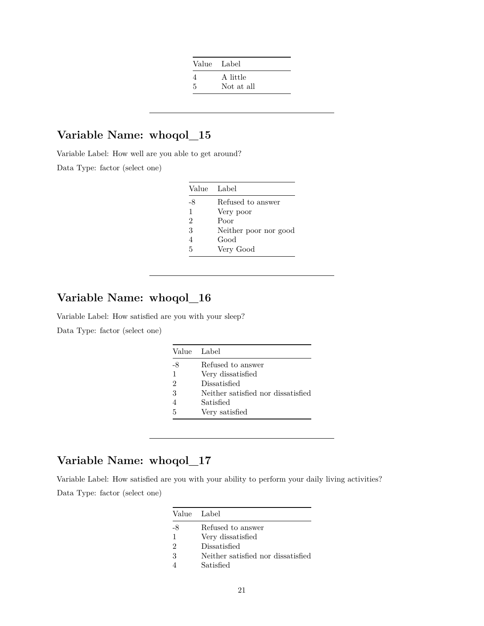| Value Label |            |
|-------------|------------|
|             | A little   |
| .5          | Not at all |

Variable Label: How well are you able to get around? Data Type: factor (select one)

| Value Label    |                       |
|----------------|-----------------------|
| -8             | Refused to answer     |
| $\mathbf{1}$   | Very poor             |
| $\overline{2}$ | Poor                  |
| 3              | Neither poor nor good |
| 4              | Good                  |
| 5              | Very Good             |

# **Variable Name: whoqol\_16**

Variable Label: How satisfied are you with your sleep?

Data Type: factor (select one)

|                | Value Label                        |
|----------------|------------------------------------|
| -8             | Refused to answer                  |
| 1              | Very dissatisfied                  |
| $\overline{2}$ | Dissatisfied                       |
| 3              | Neither satisfied nor dissatisfied |
|                | Satisfied                          |
| 5              | Very satisfied                     |

## **Variable Name: whoqol\_17**

Variable Label: How satisfied are you with your ability to perform your daily living activities? Data Type: factor (select one)

| Value Label   |                                    |
|---------------|------------------------------------|
| -8            | Refused to answer                  |
| 1             | Very dissatisfied                  |
| $\mathcal{D}$ | Dissatisfied                       |
| 3             | Neither satisfied nor dissatisfied |
|               | Satisfied                          |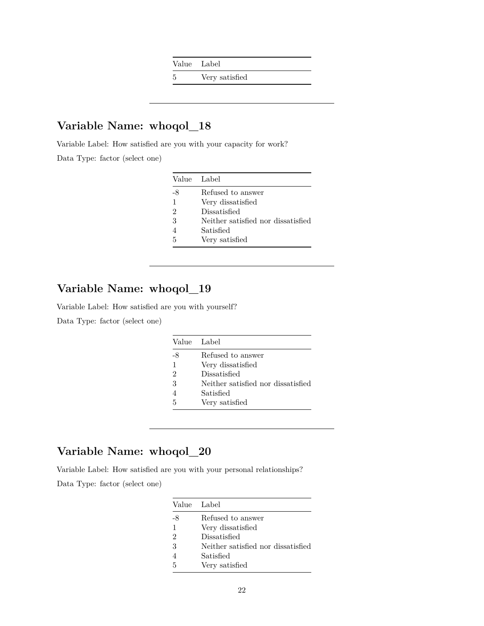Value Label

5 Very satisfied

## **Variable Name: whoqol\_18**

Variable Label: How satisfied are you with your capacity for work?

Data Type: factor (select one)

| Value Label    |                                    |
|----------------|------------------------------------|
| -8             | Refused to answer                  |
| $\mathbf{1}$   | Very dissatisfied                  |
| $\mathfrak{D}$ | Dissatisfied                       |
| 3              | Neither satisfied nor dissatisfied |
| 4              | Satisfied                          |
| 5              | Very satisfied                     |

# **Variable Name: whoqol\_19**

Variable Label: How satisfied are you with yourself?

Data Type: factor (select one)

|    | Value Label                        |
|----|------------------------------------|
| -8 | Refused to answer                  |
| 1  | Very dissatisfied                  |
| 2  | Dissatisfied                       |
| 3  | Neither satisfied nor dissatisfied |
|    | Satisfied                          |
| 5  | Very satisfied                     |

# **Variable Name: whoqol\_20**

Variable Label: How satisfied are you with your personal relationships?

|    | Value Label                        |
|----|------------------------------------|
| -8 | Refused to answer                  |
| 1  | Very dissatisfied                  |
| 2  | Dissatisfied                       |
| 3  | Neither satisfied nor dissatisfied |
|    | Satisfied                          |
| 5  | Very satisfied                     |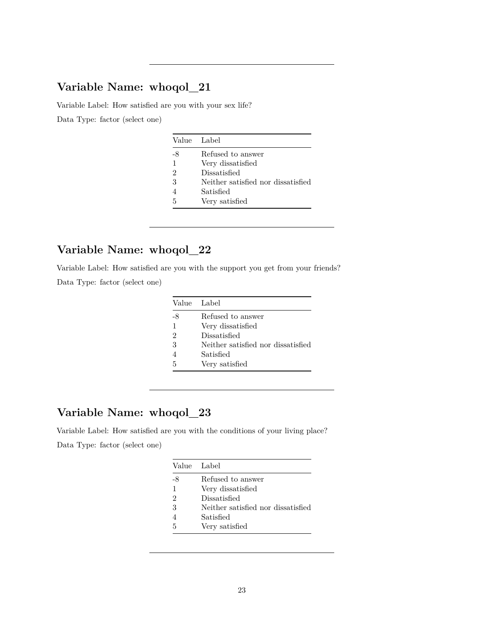Variable Label: How satisfied are you with your sex life?

Data Type: factor (select one)

|    | Value Label                        |
|----|------------------------------------|
| -8 | Refused to answer                  |
| 1  | Very dissatisfied                  |
| 2  | Dissatisfied                       |
| 3  | Neither satisfied nor dissatisfied |
| 4  | Satisfied                          |
| 5  | Very satisfied                     |

# **Variable Name: whoqol\_22**

Variable Label: How satisfied are you with the support you get from your friends?

Data Type: factor (select one)

| Value Label   |                                    |
|---------------|------------------------------------|
| -8            | Refused to answer                  |
| 1             | Very dissatisfied                  |
| $\mathcal{D}$ | Dissatisfied                       |
| 3             | Neither satisfied nor dissatisfied |
|               | Satisfied                          |
| 5             | Very satisfied                     |

# **Variable Name: whoqol\_23**

Variable Label: How satisfied are you with the conditions of your living place? Data Type: factor (select one)

|               | Value Label                        |
|---------------|------------------------------------|
| -8            | Refused to answer                  |
| 1             | Very dissatisfied                  |
| $\mathcal{D}$ | Dissatisfied                       |
| 3             | Neither satisfied nor dissatisfied |
| 4             | Satisfied                          |
| 5             | Very satisfied                     |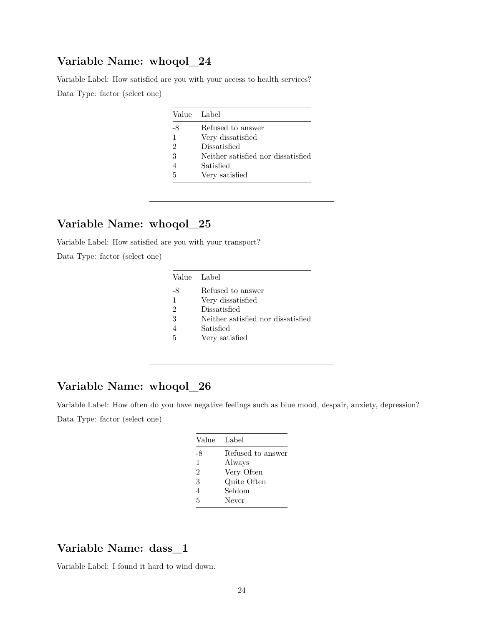Variable Label: How satisfied are you with your access to health services? Data Type: factor (select one)

| Value Label   |                                    |
|---------------|------------------------------------|
| -8            | Refused to answer                  |
| 1             | Very dissatisfied                  |
| $\mathcal{D}$ | Dissatisfied                       |
| 3             | Neither satisfied nor dissatisfied |
| 4             | Satisfied                          |
| 5             | Very satisfied                     |

## **Variable Name: whoqol\_25**

Variable Label: How satisfied are you with your transport?

Data Type: factor (select one)

|    | Value Label                        |
|----|------------------------------------|
| -8 | Refused to answer                  |
| 1  | Very dissatisfied                  |
| 2  | Dissatisfied                       |
| 3  | Neither satisfied nor dissatisfied |
|    | Satisfied                          |
| 5  | Very satisfied                     |

# **Variable Name: whoqol\_26**

Variable Label: How often do you have negative feelings such as blue mood, despair, anxiety, depression? Data Type: factor (select one)

| Label             |
|-------------------|
| Refused to answer |
| Always            |
| Very Often        |
| Quite Often       |
| Seldom            |
| Never             |
|                   |

### **Variable Name: dass\_1**

Variable Label: I found it hard to wind down.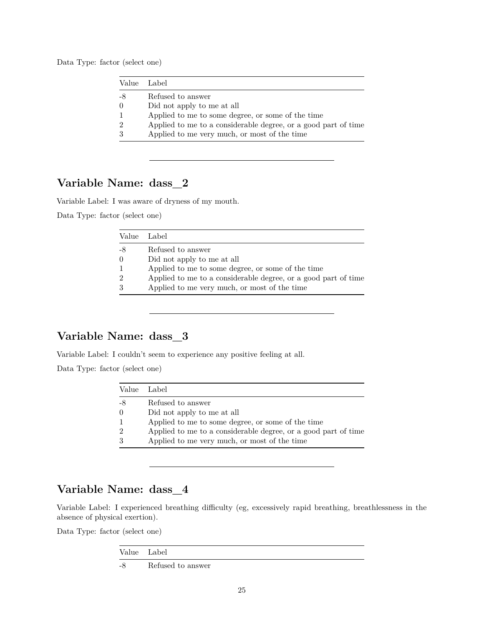Data Type: factor (select one)

| Value Label    |                                                                |
|----------------|----------------------------------------------------------------|
| -8             | Refused to answer                                              |
| $\Omega$       | Did not apply to me at all                                     |
| $\overline{1}$ | Applied to me to some degree, or some of the time              |
| $\mathcal{D}$  | Applied to me to a considerable degree, or a good part of time |
| 3              | Applied to me very much, or most of the time                   |
|                |                                                                |

## **Variable Name: dass\_2**

Variable Label: I was aware of dryness of my mouth.

Data Type: factor (select one)

| Value          | - Label -                                                      |
|----------------|----------------------------------------------------------------|
| -8             | Refused to answer                                              |
| $\theta$       | Did not apply to me at all                                     |
| $\overline{1}$ | Applied to me to some degree, or some of the time              |
| $\overline{2}$ | Applied to me to a considerable degree, or a good part of time |
| 3              | Applied to me very much, or most of the time                   |
|                |                                                                |

## **Variable Name: dass\_3**

Variable Label: I couldn't seem to experience any positive feeling at all.

Data Type: factor (select one)

| Value Label   |                                                                |
|---------------|----------------------------------------------------------------|
| -8            | Refused to answer                                              |
| $\theta$      | Did not apply to me at all                                     |
| $\mathbf{1}$  | Applied to me to some degree, or some of the time              |
| $\mathcal{D}$ | Applied to me to a considerable degree, or a good part of time |
| 3             | Applied to me very much, or most of the time                   |

## **Variable Name: dass\_4**

Variable Label: I experienced breathing difficulty (eg, excessively rapid breathing, breathlessness in the absence of physical exertion).

| Value Label |                   |
|-------------|-------------------|
| -8          | Refused to answer |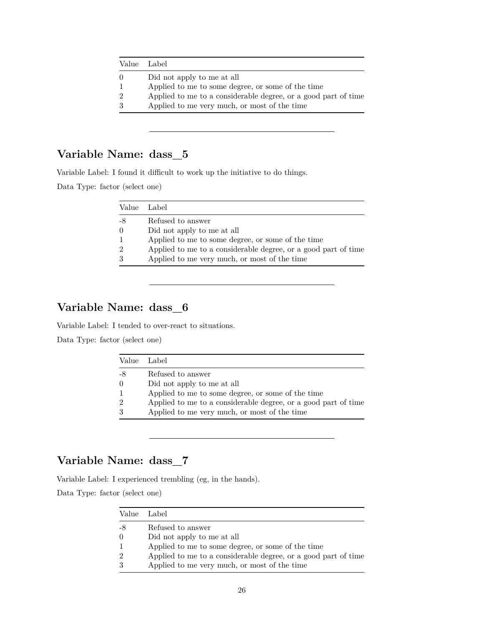|                | Value Label                                                    |
|----------------|----------------------------------------------------------------|
| $\Omega$       | Did not apply to me at all                                     |
| 1              | Applied to me to some degree, or some of the time              |
| $\overline{2}$ | Applied to me to a considerable degree, or a good part of time |
| 3              | Applied to me very much, or most of the time                   |
|                |                                                                |

Variable Label: I found it difficult to work up the initiative to do things.

Data Type: factor (select one)

| Value Label      |                                                                |
|------------------|----------------------------------------------------------------|
| -8               | Refused to answer                                              |
| $\left( \right)$ | Did not apply to me at all                                     |
|                  | Applied to me to some degree, or some of the time              |
| - 2              | Applied to me to a considerable degree, or a good part of time |
| 3                | Applied to me very much, or most of the time                   |

## **Variable Name: dass\_6**

Variable Label: I tended to over-react to situations.

Data Type: factor (select one)

|    | Value Label                                                    |
|----|----------------------------------------------------------------|
| -8 | Refused to answer                                              |
|    | Did not apply to me at all                                     |
|    | Applied to me to some degree, or some of the time              |
|    | Applied to me to a considerable degree, or a good part of time |
|    | Applied to me very much, or most of the time                   |

## **Variable Name: dass\_7**

Variable Label: I experienced trembling (eg, in the hands).

| Value          | Label                                                          |
|----------------|----------------------------------------------------------------|
| -8             | Refused to answer                                              |
| $\theta$       | Did not apply to me at all                                     |
| $\mathbf{1}$   | Applied to me to some degree, or some of the time              |
| $\overline{2}$ | Applied to me to a considerable degree, or a good part of time |
| 3              | Applied to me very much, or most of the time                   |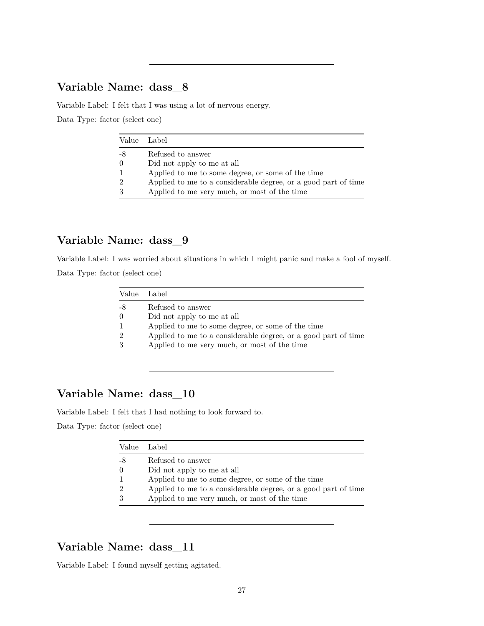Variable Label: I felt that I was using a lot of nervous energy.

Data Type: factor (select one)

| Value Label    |                                                                |
|----------------|----------------------------------------------------------------|
| -8             | Refused to answer                                              |
| $\theta$       | Did not apply to me at all                                     |
| $\overline{1}$ | Applied to me to some degree, or some of the time              |
| $\mathcal{D}$  | Applied to me to a considerable degree, or a good part of time |
| 3              | Applied to me very much, or most of the time                   |
|                |                                                                |

### **Variable Name: dass\_9**

Variable Label: I was worried about situations in which I might panic and make a fool of myself.

Data Type: factor (select one)

|                | Value Label                                                    |
|----------------|----------------------------------------------------------------|
| -8             | Refused to answer                                              |
| $\Omega$       | Did not apply to me at all                                     |
| $\mathbf{1}$   | Applied to me to some degree, or some of the time              |
| $\overline{2}$ | Applied to me to a considerable degree, or a good part of time |
| 3              | Applied to me very much, or most of the time                   |

## **Variable Name: dass\_10**

Variable Label: I felt that I had nothing to look forward to.

Data Type: factor (select one)

| Value Label |                                                                |
|-------------|----------------------------------------------------------------|
| -8          | Refused to answer                                              |
| $\Omega$    | Did not apply to me at all                                     |
|             | Applied to me to some degree, or some of the time              |
| $\Omega$    | Applied to me to a considerable degree, or a good part of time |
|             | Applied to me very much, or most of the time                   |

### **Variable Name: dass\_11**

Variable Label: I found myself getting agitated.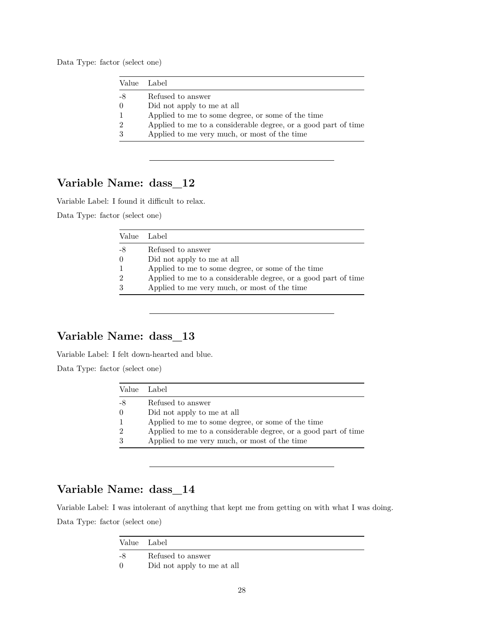Data Type: factor (select one)

|               | Value Label                                                    |
|---------------|----------------------------------------------------------------|
|               | Refused to answer                                              |
| $\Omega$      | Did not apply to me at all                                     |
|               | Applied to me to some degree, or some of the time              |
| $\mathcal{D}$ | Applied to me to a considerable degree, or a good part of time |
|               | Applied to me very much, or most of the time                   |
|               |                                                                |

## **Variable Name: dass\_12**

Variable Label: I found it difficult to relax.

Data Type: factor (select one)

| Applied to me to a considerable degree, or a good part of time |
|----------------------------------------------------------------|
|                                                                |
|                                                                |

## **Variable Name: dass\_13**

Variable Label: I felt down-hearted and blue.

Data Type: factor (select one)

| Value Label   |                                                                |
|---------------|----------------------------------------------------------------|
| -8            | Refused to answer                                              |
| $\theta$      | Did not apply to me at all                                     |
|               | Applied to me to some degree, or some of the time              |
| $\mathcal{D}$ | Applied to me to a considerable degree, or a good part of time |
| 3             | Applied to me very much, or most of the time                   |

## **Variable Name: dass\_14**

Variable Label: I was intolerant of anything that kept me from getting on with what I was doing. Data Type: factor (select one)

|    | Value Label                |  |
|----|----------------------------|--|
| -8 | Refused to answer          |  |
| 0  | Did not apply to me at all |  |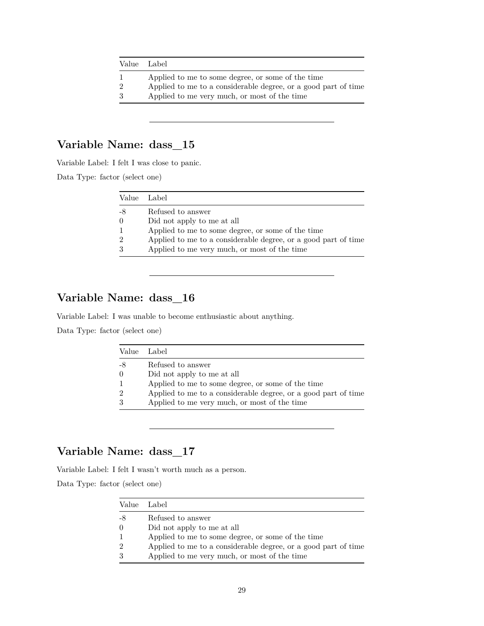| Value Label    |                                                                |
|----------------|----------------------------------------------------------------|
|                | Applied to me to some degree, or some of the time              |
| $\overline{2}$ | Applied to me to a considerable degree, or a good part of time |
| 3              | Applied to me very much, or most of the time                   |

Variable Label: I felt I was close to panic.

Data Type: factor (select one)

| Value Label    |                                                                |
|----------------|----------------------------------------------------------------|
| -8             | Refused to answer                                              |
| $\theta$       | Did not apply to me at all                                     |
| $\mathbf{1}$   | Applied to me to some degree, or some of the time              |
| $\overline{2}$ | Applied to me to a considerable degree, or a good part of time |
| 3              | Applied to me very much, or most of the time                   |

# **Variable Name: dass\_16**

Variable Label: I was unable to become enthusiastic about anything.

Data Type: factor (select one)

|                | Value Label                                                    |
|----------------|----------------------------------------------------------------|
| -8             | Refused to answer                                              |
| $\Omega$       | Did not apply to me at all                                     |
| $\mathbf{1}$   | Applied to me to some degree, or some of the time              |
| $\overline{2}$ | Applied to me to a considerable degree, or a good part of time |
| 3              | Applied to me very much, or most of the time                   |

## **Variable Name: dass\_17**

Variable Label: I felt I wasn't worth much as a person.

|                | Value Label                                                    |  |
|----------------|----------------------------------------------------------------|--|
| -8             | Refused to answer                                              |  |
| $\theta$       | Did not apply to me at all                                     |  |
| $\mathbf{1}$   | Applied to me to some degree, or some of the time              |  |
| $\overline{2}$ | Applied to me to a considerable degree, or a good part of time |  |
| 3              | Applied to me very much, or most of the time                   |  |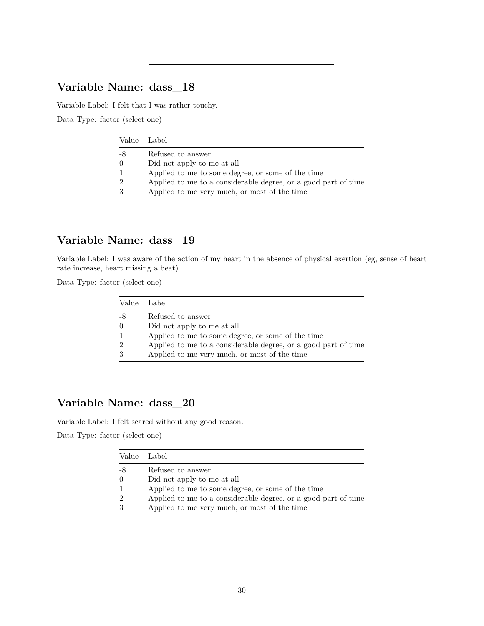Variable Label: I felt that I was rather touchy.

Data Type: factor (select one)

| Value Label   |                                                                |
|---------------|----------------------------------------------------------------|
| -8            | Refused to answer                                              |
| $\Omega$      | Did not apply to me at all                                     |
|               | Applied to me to some degree, or some of the time              |
| $\mathcal{D}$ | Applied to me to a considerable degree, or a good part of time |
|               | Applied to me very much, or most of the time                   |
|               |                                                                |

## **Variable Name: dass\_19**

Variable Label: I was aware of the action of my heart in the absence of physical exertion (eg, sense of heart rate increase, heart missing a beat).

Data Type: factor (select one)

|                | Value Label                                                    |
|----------------|----------------------------------------------------------------|
| -8             | Refused to answer                                              |
| $\Omega$       | Did not apply to me at all                                     |
| $\mathbf{1}$   | Applied to me to some degree, or some of the time              |
| $\overline{2}$ | Applied to me to a considerable degree, or a good part of time |
| 3              | Applied to me very much, or most of the time                   |

## **Variable Name: dass\_20**

Variable Label: I felt scared without any good reason.

|               | Value Label                                                    |
|---------------|----------------------------------------------------------------|
| -8            | Refused to answer                                              |
| $\Omega$      | Did not apply to me at all                                     |
| $\mathbf{1}$  | Applied to me to some degree, or some of the time              |
| $\mathcal{D}$ | Applied to me to a considerable degree, or a good part of time |
| 3             | Applied to me very much, or most of the time                   |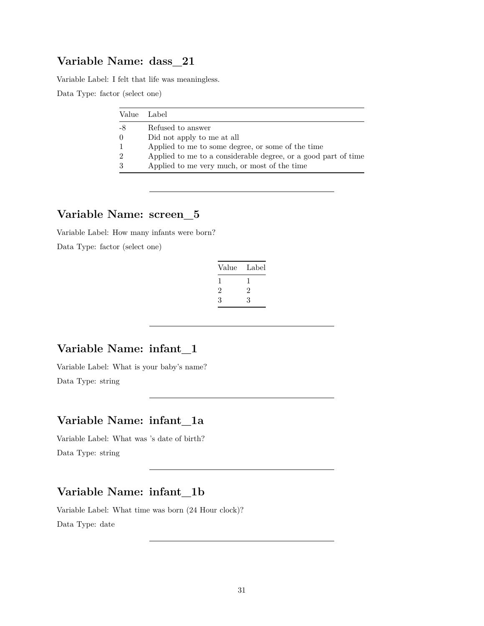Variable Label: I felt that life was meaningless.

Data Type: factor (select one)

| Value Label   |                                                                |
|---------------|----------------------------------------------------------------|
| -8            | Refused to answer                                              |
| $\theta$      | Did not apply to me at all                                     |
|               | Applied to me to some degree, or some of the time              |
| $\mathcal{D}$ | Applied to me to a considerable degree, or a good part of time |
|               | Applied to me very much, or most of the time                   |

## **Variable Name: screen\_5**

Variable Label: How many infants were born?

Data Type: factor (select one)

| Value | Label        |
|-------|--------------|
|       | $\mathbf{I}$ |
| 2     | 2            |
| 3     | 3            |

### **Variable Name: infant\_1**

Variable Label: What is your baby's name? Data Type: string

### **Variable Name: infant\_1a**

Variable Label: What was 's date of birth? Data Type: string

## **Variable Name: infant\_1b**

Variable Label: What time was born (24 Hour clock)? Data Type: date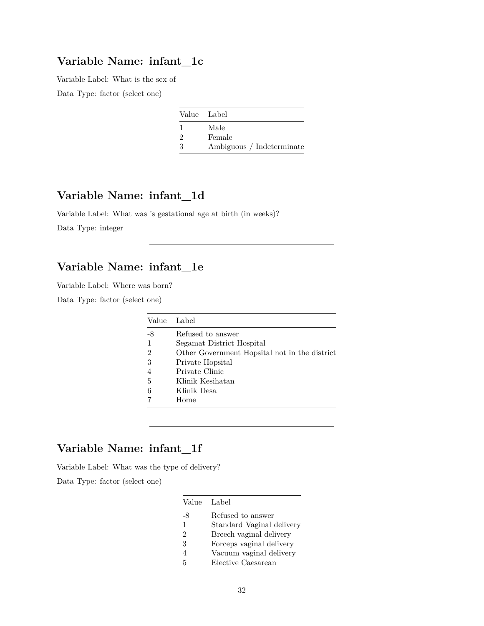### **Variable Name: infant\_1c**

Variable Label: What is the sex of

Data Type: factor (select one)

|          | Value Label               |
|----------|---------------------------|
|          | Male                      |
| $\Omega$ | Female                    |
| З        | Ambiguous / Indeterminate |

## **Variable Name: infant\_1d**

Variable Label: What was 's gestational age at birth (in weeks)? Data Type: integer

## **Variable Name: infant\_1e**

Variable Label: Where was born?

Data Type: factor (select one)

| Label                                         |
|-----------------------------------------------|
| Refused to answer                             |
| Segamat District Hospital                     |
| Other Government Hopsital not in the district |
| Private Hopsital                              |
| Private Clinic                                |
| Klinik Kesihatan                              |
| Klinik Desa                                   |
| Home                                          |
|                                               |

## **Variable Name: infant\_1f**

Variable Label: What was the type of delivery?

| Value Label    |                           |
|----------------|---------------------------|
| -8             | Refused to answer         |
| $\mathbf{1}$   | Standard Vaginal delivery |
| $\mathfrak{D}$ | Breech vaginal delivery   |
| 3              | Forceps vaginal delivery  |
| 4              | Vacuum vaginal delivery   |
| 5              | Elective Caesarean        |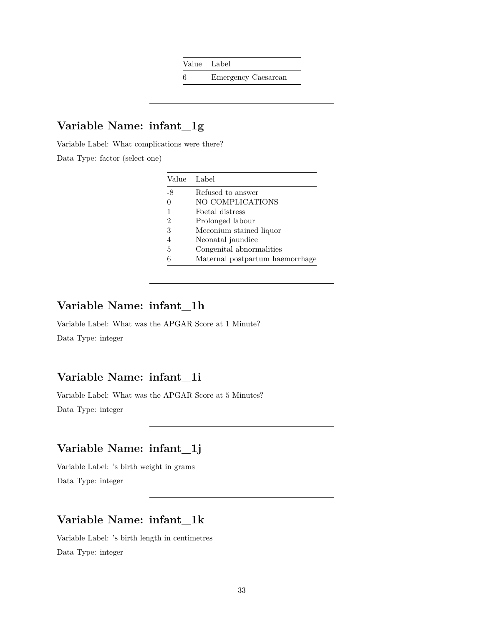Value Label

6 Emergency Caesarean

# **Variable Name: infant\_1g**

Variable Label: What complications were there?

Data Type: factor (select one)

|    | Value Label                     |
|----|---------------------------------|
| -8 | Refused to answer               |
| 0  | NO COMPLICATIONS                |
|    | Foetal distress                 |
| 2  | Prolonged labour                |
| 3  | Meconium stained liquor         |
|    | Neonatal jaundice               |
| 5  | Congenital abnormalities        |
|    | Maternal postpartum haemorrhage |

### **Variable Name: infant\_1h**

Variable Label: What was the APGAR Score at 1 Minute? Data Type: integer

## **Variable Name: infant\_1i**

Variable Label: What was the APGAR Score at 5 Minutes?

Data Type: integer

## **Variable Name: infant\_1j**

Variable Label: 's birth weight in grams Data Type: integer

## **Variable Name: infant\_1k**

Variable Label: 's birth length in centimetres Data Type: integer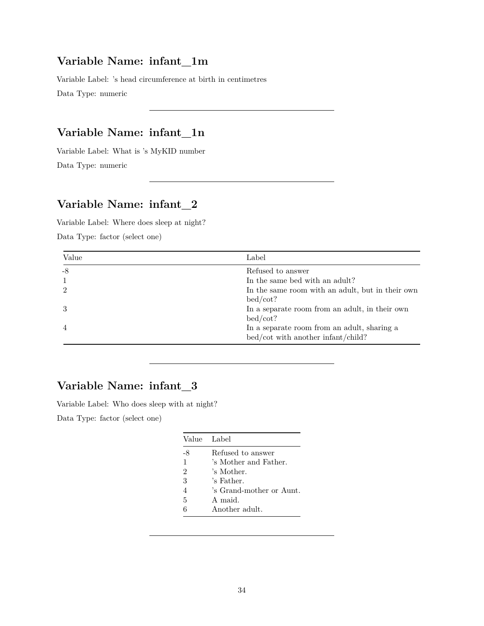### **Variable Name: infant\_1m**

Variable Label: 's head circumference at birth in centimetres Data Type: numeric

## **Variable Name: infant\_1n**

Variable Label: What is 's MyKID number Data Type: numeric

## **Variable Name: infant\_2**

Variable Label: Where does sleep at night?

Data Type: factor (select one)

| Value | Label                                            |
|-------|--------------------------------------------------|
| -8    | Refused to answer                                |
|       | In the same bed with an adult?                   |
|       | In the same room with an adult, but in their own |
|       | bed/cot?                                         |
|       | In a separate room from an adult, in their own   |
|       | bed/cot?                                         |
| -4    | In a separate room from an adult, sharing a      |
|       | bed/cot with another infant/child?               |

# **Variable Name: infant\_3**

Variable Label: Who does sleep with at night?

|                | Value Label              |
|----------------|--------------------------|
| -8             | Refused to answer        |
| $\mathbf{1}$   | 's Mother and Father.    |
| $\mathfrak{D}$ | 's Mother.               |
| 3              | 's Father.               |
| 4              | 's Grand-mother or Aunt. |
| 5              | A maid                   |
| 6              | Another adult.           |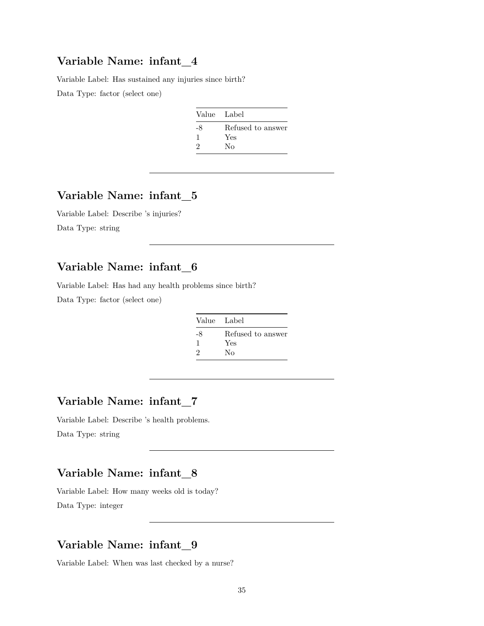### **Variable Name: infant\_4**

Variable Label: Has sustained any injuries since birth?

Data Type: factor (select one)

| Value Label |                   |
|-------------|-------------------|
| -8          | Refused to answer |
| 1           | Yes               |
| 2           | Nο                |

### **Variable Name: infant\_5**

Variable Label: Describe 's injuries? Data Type: string

## **Variable Name: infant\_6**

Variable Label: Has had any health problems since birth? Data Type: factor (select one)

| Value Label |                   |
|-------------|-------------------|
| -8          | Refused to answer |
| 1           | Yes               |
| 2           | Nο                |

## **Variable Name: infant\_7**

Variable Label: Describe 's health problems. Data Type: string

### **Variable Name: infant\_8**

Variable Label: How many weeks old is today? Data Type: integer

## **Variable Name: infant\_9**

Variable Label: When was last checked by a nurse?